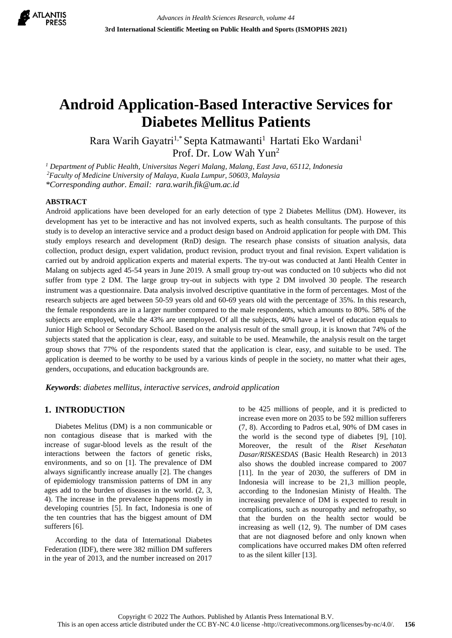

# **Android Application-Based Interactive Services for Diabetes Mellitus Patients**

Rara Warih Gayatri<sup>1,\*</sup> Septa Katmawanti<sup>1</sup> Hartati Eko Wardani<sup>1</sup> Prof. Dr. Low Wah Yun<sup>2</sup>

*<sup>1</sup> Department of Public Health, Universitas Negeri Malang, Malang, East Java, 65112, Indonesia*

*<sup>2</sup>Faculty of Medicine University of Malaya, Kuala Lumpur, 50603, Malaysia*

*\*Corresponding author. Email: rara.warih.fik@um.ac.id*

#### **ABSTRACT**

Android applications have been developed for an early detection of type 2 Diabetes Mellitus (DM). However, its development has yet to be interactive and has not involved experts, such as health consultants. The purpose of this study is to develop an interactive service and a product design based on Android application for people with DM. This study employs research and development (RnD) design. The research phase consists of situation analysis, data collection, product design, expert validation, product revision, product tryout and final revision. Expert validation is carried out by android application experts and material experts. The try-out was conducted at Janti Health Center in Malang on subjects aged 45-54 years in June 2019. A small group try-out was conducted on 10 subjects who did not suffer from type 2 DM. The large group try-out in subjects with type 2 DM involved 30 people. The research instrument was a questionnaire. Data analysis involved descriptive quantitative in the form of percentages. Most of the research subjects are aged between 50-59 years old and 60-69 years old with the percentage of 35%. In this research, the female respondents are in a larger number compared to the male respondents, which amounts to 80%. 58% of the subjects are employed, while the 43% are unemployed. Of all the subjects, 40% have a level of education equals to Junior High School or Secondary School. Based on the analysis result of the small group, it is known that 74% of the subjects stated that the application is clear, easy, and suitable to be used. Meanwhile, the analysis result on the target group shows that 77% of the respondents stated that the application is clear, easy, and suitable to be used. The application is deemed to be worthy to be used by a various kinds of people in the society, no matter what their ages, genders, occupations, and education backgrounds are.

*Keywords*: *diabetes mellitus, interactive services, android application*

# **1. INTRODUCTION**

Diabetes Melitus (DM) is a non communicable or non contagious disease that is marked with the increase of sugar-blood levels as the result of the interactions between the factors of genetic risks, environments, and so on [1]. The prevalence of DM always significantly increase anually [2]. The changes of epidemiology transmission patterns of DM in any ages add to the burden of diseases in the world. (2, 3, 4). The increase in the prevalence happens mostly in developing countries [5]. In fact, Indonesia is one of the ten countries that has the biggest amount of DM sufferers [6].

According to the data of International Diabetes Federation (IDF), there were 382 million DM sufferers in the year of 2013, and the number increased on 2017 to be 425 millions of people, and it is predicted to increase even more on 2035 to be 592 million sufferers (7, 8). According to Padros et.al, 90% of DM cases in the world is the second type of diabetes [9], [10]. Moreover, the result of the *Riset Kesehatan Dasar/RISKESDAS* (Basic Health Research) in 2013 also shows the doubled increase compared to 2007 [11]. In the year of 2030, the sufferers of DM in Indonesia will increase to be 21,3 million people, according to the Indonesian Ministy of Health. The increasing prevalence of DM is expected to result in complications, such as nouropathy and nefropathy, so that the burden on the health sector would be increasing as well (12, 9). The number of DM cases that are not diagnosed before and only known when complications have occurred makes DM often referred to as the silent killer [13].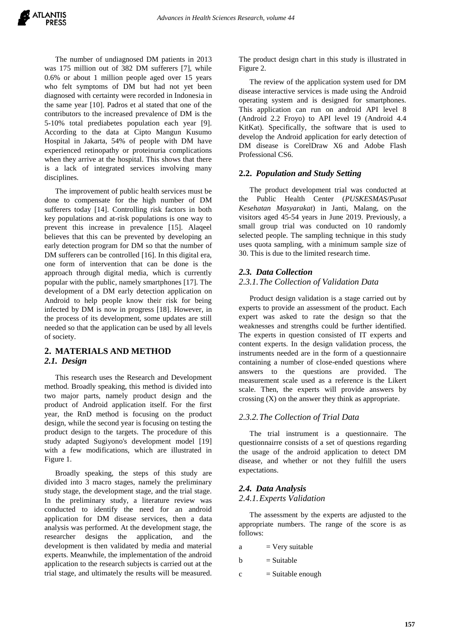The number of undiagnosed DM patients in 2013 was 175 million out of 382 DM sufferers [7], while 0.6% or about 1 million people aged over 15 years who felt symptoms of DM but had not yet been diagnosed with certainty were recorded in Indonesia in the same year [10]. Padros et al stated that one of the contributors to the increased prevalence of DM is the 5-10% total prediabetes population each year [9]. According to the data at Cipto Mangun Kusumo Hospital in Jakarta, 54% of people with DM have experienced retinopathy or proteinuria complications when they arrive at the hospital. This shows that there is a lack of integrated services involving many disciplines.

The improvement of public health services must be done to compensate for the high number of DM sufferers today [14]. Controlling risk factors in both key populations and at-risk populations is one way to prevent this increase in prevalence [15]. Alaqeel believes that this can be prevented by developing an early detection program for DM so that the number of DM sufferers can be controlled [16]. In this digital era, one form of intervention that can be done is the approach through digital media, which is currently popular with the public, namely smartphones [17]. The development of a DM early detection application on Android to help people know their risk for being infected by DM is now in progress [18]. However, in the process of its development, some updates are still needed so that the application can be used by all levels of society.

# **2. MATERIALS AND METHOD** *2.1. Design*

This research uses the Research and Development method. Broadly speaking, this method is divided into two major parts, namely product design and the product of Android application itself. For the first year, the RnD method is focusing on the product design, while the second year is focusing on testing the product design to the targets. The procedure of this study adapted Sugiyono's development model [19] with a few modifications, which are illustrated in Figure 1.

Broadly speaking, the steps of this study are divided into 3 macro stages, namely the preliminary study stage, the development stage, and the trial stage. In the preliminary study, a literature review was conducted to identify the need for an android application for DM disease services, then a data analysis was performed. At the development stage, the researcher designs the application, and the development is then validated by media and material experts. Meanwhile, the implementation of the android application to the research subjects is carried out at the trial stage, and ultimately the results will be measured.

The product design chart in this study is illustrated in Figure 2.

The review of the application system used for DM disease interactive services is made using the Android operating system and is designed for smartphones. This application can run on android API level 8 (Android 2.2 Froyo) to API level 19 (Android 4.4 KitKat). Specifically, the software that is used to develop the Android application for early detection of DM disease is CorelDraw X6 and Adobe Flash Professional CS6.

# **2.2.** *Population and Study Setting*

The product development trial was conducted at the Public Health Center (*PUSKESMAS/Pusat Kesehatan Masyarakat*) in Janti, Malang, on the visitors aged 45-54 years in June 2019. Previously, a small group trial was conducted on 10 randomly selected people. The sampling technique in this study uses quota sampling, with a minimum sample size of 30. This is due to the limited research time.

# *2.3. Data Collection*

#### *2.3.1.The Collection of Validation Data*

Product design validation is a stage carried out by experts to provide an assessment of the product. Each expert was asked to rate the design so that the weaknesses and strengths could be further identified. The experts in question consisted of IT experts and content experts. In the design validation process, the instruments needed are in the form of a questionnaire containing a number of close-ended questions where answers to the questions are provided. The measurement scale used as a reference is the Likert scale. Then, the experts will provide answers by crossing (X) on the answer they think as appropriate.

#### *2.3.2.The Collection of Trial Data*

The trial instrument is a questionnaire. The questionnairre consists of a set of questions regarding the usage of the android application to detect DM disease, and whether or not they fulfill the users expectations.

# *2.4. Data Analysis 2.4.1.Experts Validation*

The assessment by the experts are adjusted to the appropriate numbers. The range of the score is as follows:

- $a = V$ ery suitable
- $b =$ Suitable
- $c =$  Suitable enough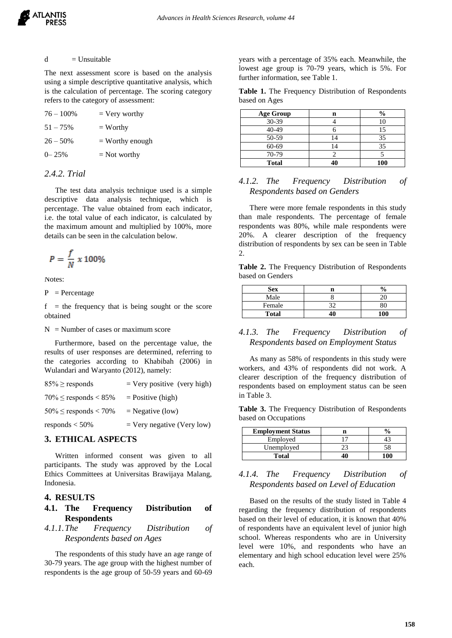#### $d = Unsuitable$

The next assessment score is based on the analysis using a simple descriptive quantitative analysis, which is the calculation of percentage. The scoring category refers to the category of assessment:

| $76 - 100\%$ | $=$ Very worthy   |
|--------------|-------------------|
| $51 - 75%$   | $=$ Worthy        |
| $26 - 50\%$  | $=$ Worthy enough |
| $0 - 25%$    | $=$ Not worthy    |

# *2.4.2. Trial*

The test data analysis technique used is a simple descriptive data analysis technique, which is percentage. The value obtained from each indicator, i.e. the total value of each indicator, is calculated by the maximum amount and multiplied by 100%, more details can be seen in the calculation below.

$$
P = \frac{f}{N} \times 100\%
$$

Notes:

 $P =$  Percentage

 $f =$  the frequency that is being sought or the score obtained

 $N =$  Number of cases or maximum score

Furthermore, based on the percentage value, the results of user responses are determined, referring to the categories according to Khabibah (2006) in Wulandari and Waryanto (2012), namely:

| $85\% \ge$ responds       | $=$ Very positive (very high) |
|---------------------------|-------------------------------|
| $70\% \le$ responds < 85% | $=$ Positive (high)           |
| $50\% \le$ responds < 70% | $=$ Negative (low)            |
| responds $<$ 50%          | $=$ Very negative (Very low)  |

#### **3. ETHICAL ASPECTS**

Written informed consent was given to all participants. The study was approved by the Local Ethics Committees at Universitas Brawijaya Malang, Indonesia.

#### **4. RESULTS**

#### **4.1. The Frequency Distribution of Respondents**

#### *4.1.1.The Frequency Distribution of Respondents based on Ages*

The respondents of this study have an age range of 30-79 years. The age group with the highest number of respondents is the age group of 50-59 years and 60-69 years with a percentage of 35% each. Meanwhile, the lowest age group is 70-79 years, which is 5%. For further information, see Table 1.

|               |  | Table 1. The Frequency Distribution of Respondents |
|---------------|--|----------------------------------------------------|
| based on Ages |  |                                                    |

| <b>Age Group</b> | n  | $\frac{6}{9}$ |
|------------------|----|---------------|
| $30-39$          |    | 10            |
| 40-49            |    | 15            |
| 50-59            |    | 35            |
| 60-69            | 14 | 35            |
| 70-79            |    |               |
| <b>Total</b>     |    | 100           |

# *4.1.2. The Frequency Distribution of Respondents based on Genders*

There were more female respondents in this study than male respondents. The percentage of female respondents was 80%, while male respondents were 20%. A clearer description of the frequency distribution of respondents by sex can be seen in Table 2.

**Table 2.** The Frequency Distribution of Respondents based on Genders

| Sex          | n | 0   |
|--------------|---|-----|
| Male         |   |     |
| Female       |   | 80  |
| <b>Total</b> |   | 100 |

# *4.1.3. The Frequency Distribution of Respondents based on Employment Status*

As many as 58% of respondents in this study were workers, and 43% of respondents did not work. A clearer description of the frequency distribution of respondents based on employment status can be seen in Table 3.

**Table 3.** The Frequency Distribution of Respondents based on Occupations

| <b>Employment Status</b> |     |
|--------------------------|-----|
| Employed                 |     |
| Unemployed               |     |
| Total                    | 100 |

# *4.1.4. The Frequency Distribution of Respondents based on Level of Education*

Based on the results of the study listed in Table 4 regarding the frequency distribution of respondents based on their level of education, it is known that 40% of respondents have an equivalent level of junior high school. Whereas respondents who are in University level were 10%, and respondents who have an elementary and high school education level were 25% each.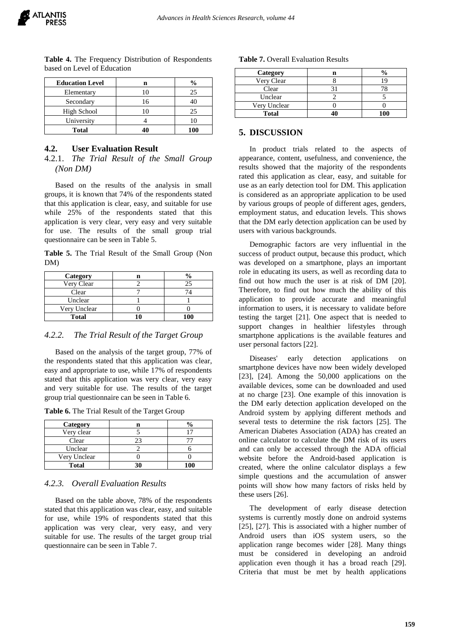

| <b>Education Level</b> |    | $\frac{0}{0}$ |
|------------------------|----|---------------|
| Elementary             |    | 25            |
| Secondary              | 16 |               |
| High School            |    | 25            |
| University             |    |               |
| <b>Total</b>           |    | 100           |

**Table 4.** The Frequency Distribution of Respondents based on Level of Education

#### **4.2. User Evaluation Result**

4.2.1. *The Trial Result of the Small Group (Non DM)*

Based on the results of the analysis in small groups, it is known that 74% of the respondents stated that this application is clear, easy, and suitable for use while 25% of the respondents stated that this application is very clear, very easy and very suitable for use. The results of the small group trial questionnaire can be seen in Table 5.

**Table 5.** The Trial Result of the Small Group (Non DM)

| Category     |     |
|--------------|-----|
| Very Clear   | 25  |
| Clear        |     |
| Unclear      |     |
| Very Unclear |     |
| <b>Total</b> | 100 |

## *4.2.2. The Trial Result of the Target Group*

Based on the analysis of the target group, 77% of the respondents stated that this application was clear, easy and appropriate to use, while 17% of respondents stated that this application was very clear, very easy and very suitable for use. The results of the target group trial questionnaire can be seen in Table 6.

**Table 6.** The Trial Result of the Target Group

| Category     |    |       |
|--------------|----|-------|
| Very clear   |    |       |
| Clear        | 23 |       |
| Unclear      |    |       |
| Very Unclear |    |       |
| <b>Total</b> |    | 1 A 1 |

#### *4.2.3. Overall Evaluation Results*

Based on the table above, 78% of the respondents stated that this application was clear, easy, and suitable for use, while 19% of respondents stated that this application was very clear, very easy, and very suitable for use. The results of the target group trial questionnaire can be seen in Table 7.

#### **Table 7.** Overall Evaluation Results

| Category     | $\frac{0}{0}$ |
|--------------|---------------|
| Very Clear   |               |
| Clear        |               |
| Unclear      |               |
| Very Unclear |               |
| <b>Total</b> | 100           |

# **5. DISCUSSION**

In product trials related to the aspects of appearance, content, usefulness, and convenience, the results showed that the majority of the respondents rated this application as clear, easy, and suitable for use as an early detection tool for DM. This application is considered as an appropriate application to be used by various groups of people of different ages, genders, employment status, and education levels. This shows that the DM early detection application can be used by users with various backgrounds.

Demographic factors are very influential in the success of product output, because this product, which was developed on a smartphone, plays an important role in educating its users, as well as recording data to find out how much the user is at risk of DM [20]. Therefore, to find out how much the ability of this application to provide accurate and meaningful information to users, it is necessary to validate before testing the target [21]. One aspect that is needed to support changes in healthier lifestyles through smartphone applications is the available features and user personal factors [22].

Diseases' early detection applications on smartphone devices have now been widely developed [23], [24]. Among the 50,000 applications on the available devices, some can be downloaded and used at no charge [23]. One example of this innovation is the DM early detection application developed on the Android system by applying different methods and several tests to determine the risk factors [25]. The American Diabetes Association (ADA) has created an online calculator to calculate the DM risk of its users and can only be accessed through the ADA official website before the Android-based application is created, where the online calculator displays a few simple questions and the accumulation of answer points will show how many factors of risks held by these users [26].

The development of early disease detection systems is currently mostly done on android systems [25], [27]. This is associated with a higher number of Android users than iOS system users, so the application range becomes wider [28]. Many things must be considered in developing an android application even though it has a broad reach [29]. Criteria that must be met by health applications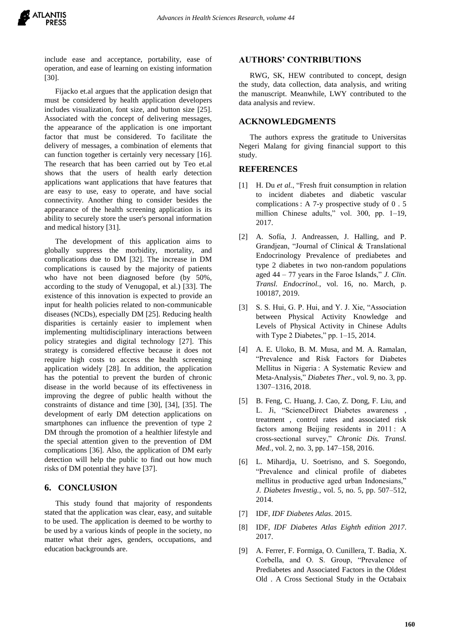

include ease and acceptance, portability, ease of operation, and ease of learning on existing information [30].

Fijacko et.al argues that the application design that must be considered by health application developers includes visualization, font size, and button size [25]. Associated with the concept of delivering messages, the appearance of the application is one important factor that must be considered. To facilitate the delivery of messages, a combination of elements that can function together is certainly very necessary [16]. The research that has been carried out by Teo et.al shows that the users of health early detection applications want applications that have features that are easy to use, easy to operate, and have social connectivity. Another thing to consider besides the appearance of the health screening application is its ability to securely store the user's personal information and medical history [31].

The development of this application aims to globally suppress the morbidity, mortality, and complications due to DM [32]. The increase in DM complications is caused by the majority of patients who have not been diagnosed before (by 50%, according to the study of Venugopal, et al.) [33]. The existence of this innovation is expected to provide an input for health policies related to non-communicable diseases (NCDs), especially DM [25]. Reducing health disparities is certainly easier to implement when implementing multidisciplinary interactions between policy strategies and digital technology [27]. This strategy is considered effective because it does not require high costs to access the health screening application widely [28]. In addition, the application has the potential to prevent the burden of chronic disease in the world because of its effectiveness in improving the degree of public health without the constraints of distance and time [30], [34], [35]. The development of early DM detection applications on smartphones can influence the prevention of type 2 DM through the promotion of a healthier lifestyle and the special attention given to the prevention of DM complications [36]. Also, the application of DM early detection will help the public to find out how much risks of DM potential they have [37].

# **6. CONCLUSION**

This study found that majority of respondents stated that the application was clear, easy, and suitable to be used. The application is deemed to be worthy to be used by a various kinds of people in the society, no matter what their ages, genders, occupations, and education backgrounds are.

#### **AUTHORS' CONTRIBUTIONS**

RWG, SK, HEW contributed to concept, design the study, data collection, data analysis, and writing the manuscript. Meanwhile, LWY contributed to the data analysis and review.

# **ACKNOWLEDGMENTS**

The authors express the gratitude to Universitas Negeri Malang for giving financial support to this study.

#### **REFERENCES**

- [1] H. Du *et al.*, "Fresh fruit consumption in relation to incident diabetes and diabetic vascular complications : A 7-y prospective study of 0 . 5 million Chinese adults," vol. 300, pp. 1–19, 2017.
- [2] A. Sofía, J. Andreassen, J. Halling, and P. Grandjean, "Journal of Clinical & Translational Endocrinology Prevalence of prediabetes and type 2 diabetes in two non-random populations aged 44 – 77 years in the Faroe Islands," *J. Clin. Transl. Endocrinol.*, vol. 16, no. March, p. 100187, 2019.
- [3] S. S. Hui, G. P. Hui, and Y. J. Xie, "Association between Physical Activity Knowledge and Levels of Physical Activity in Chinese Adults with Type 2 Diabetes," pp. 1–15, 2014.
- [4] A. E. Uloko, B. M. Musa, and M. A. Ramalan, "Prevalence and Risk Factors for Diabetes Mellitus in Nigeria : A Systematic Review and Meta-Analysis," *Diabetes Ther.*, vol. 9, no. 3, pp. 1307–1316, 2018.
- [5] B. Feng, C. Huang, J. Cao, Z. Dong, F. Liu, and L. Ji, "ScienceDirect Diabetes awareness , treatment , control rates and associated risk factors among Beijing residents in 2011 : A cross-sectional survey," *Chronic Dis. Transl. Med.*, vol. 2, no. 3, pp. 147–158, 2016.
- [6] L. Mihardja, U. Soetrisno, and S. Soegondo, "Prevalence and clinical profile of diabetes mellitus in productive aged urban Indonesians," *J. Diabetes Investig.*, vol. 5, no. 5, pp. 507–512, 2014.
- [7] IDF, *IDF Diabetes Atlas*. 2015.
- [8] IDF, *IDF Diabetes Atlas Eighth edition 2017*. 2017.
- [9] A. Ferrer, F. Formiga, O. Cunillera, T. Badia, X. Corbella, and O. S. Group, "Prevalence of Prediabetes and Associated Factors in the Oldest Old . A Cross Sectional Study in the Octabaix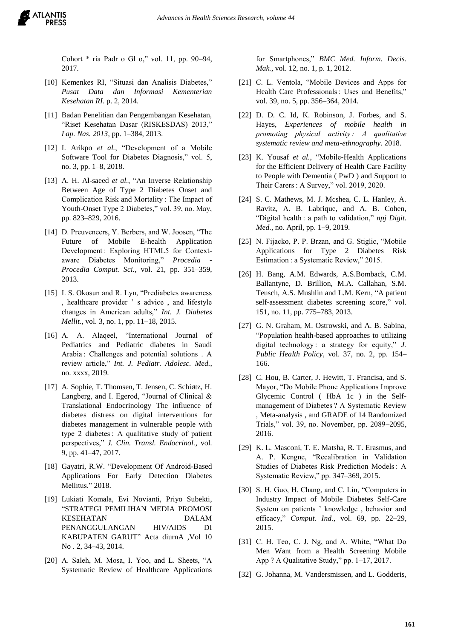Cohort \* ria Padr o Gl o," vol. 11, pp. 90–94, 2017.

- [10] Kemenkes RI, "Situasi dan Analisis Diabetes," *Pusat Data dan Informasi Kementerian Kesehatan RI*. p. 2, 2014.
- [11] Badan Penelitian dan Pengembangan Kesehatan, "Riset Kesehatan Dasar (RISKESDAS) 2013," *Lap. Nas. 2013*, pp. 1–384, 2013.
- [12] I. Arikpo *et al.*, "Development of a Mobile Software Tool for Diabetes Diagnosis," vol. 5, no. 3, pp. 1–8, 2018.
- [13] A. H. Al-saeed *et al.*, "An Inverse Relationship Between Age of Type 2 Diabetes Onset and Complication Risk and Mortality : The Impact of Youth-Onset Type 2 Diabetes," vol. 39, no. May, pp. 823–829, 2016.
- [14] D. Preuveneers, Y. Berbers, and W. Joosen, "The Future of Mobile E-health Application Development : Exploring HTML5 for Contextaware Diabetes Monitoring," *Procedia - Procedia Comput. Sci.*, vol. 21, pp. 351–359, 2013.
- [15] I. S. Okosun and R. Lyn, "Prediabetes awareness , healthcare provider ' s advice , and lifestyle changes in American adults," *Int. J. Diabetes Mellit.*, vol. 3, no. 1, pp. 11–18, 2015.
- [16] A. A. Alaqeel, "International Journal of Pediatrics and Pediatric diabetes in Saudi Arabia : Challenges and potential solutions . A review article," *Int. J. Pediatr. Adolesc. Med.*, no. xxxx, 2019.
- [17] A. Sophie, T. Thomsen, T. Jensen, C. Schiøtz, H. Langberg, and I. Egerod, "Journal of Clinical & Translational Endocrinology The influence of diabetes distress on digital interventions for diabetes management in vulnerable people with type 2 diabetes : A qualitative study of patient perspectives," *J. Clin. Transl. Endocrinol.*, vol. 9, pp. 41–47, 2017.
- [18] Gayatri, R.W. "Development Of Android-Based Applications For Early Detection Diabetes Mellitus." 2018.
- [19] Lukiati Komala, Evi Novianti, Priyo Subekti, "STRATEGI PEMILIHAN MEDIA PROMOSI KESEHATAN DALAM PENANGGULANGAN HIV/AIDS DI KABUPATEN GARUT" Acta diurnA ,Vol 10 No . 2, 34–43, 2014.
- [20] A. Saleh, M. Mosa, I. Yoo, and L. Sheets, "A Systematic Review of Healthcare Applications

for Smartphones," *BMC Med. Inform. Decis. Mak.*, vol. 12, no. 1, p. 1, 2012.

- [21] C. L. Ventola, "Mobile Devices and Apps for Health Care Professionals : Uses and Benefits," vol. 39, no. 5, pp. 356–364, 2014.
- [22] D. D. C. Id. K. Robinson, J. Forbes, and S. Hayes, *Experiences of mobile health in promoting physical activity : A qualitative systematic review and meta-ethnography*. 2018.
- [23] K. Yousaf *et al.*, "Mobile-Health Applications for the Efficient Delivery of Health Care Facility to People with Dementia ( PwD ) and Support to Their Carers : A Survey," vol. 2019, 2020.
- [24] S. C. Mathews, M. J. Mcshea, C. L. Hanley, A. Ravitz, A. B. Labrique, and A. B. Cohen, "Digital health : a path to validation," *npj Digit. Med.*, no. April, pp. 1–9, 2019.
- [25] N. Fijacko, P. P. Brzan, and G. Stiglic, "Mobile Applications for Type 2 Diabetes Risk Estimation : a Systematic Review," 2015.
- [26] H. Bang, A.M. Edwards, A.S.Bomback, C.M. Ballantyne, D. Brillion, M.A. Callahan, S.M. Teusch, A.S. Mushlin and L.M. Kern, "A patient self-assessment diabetes screening score," vol. 151, no. 11, pp. 775–783, 2013.
- [27] G. N. Graham, M. Ostrowski, and A. B. Sabina, "Population health-based approaches to utilizing digital technology : a strategy for equity," *J. Public Health Policy*, vol. 37, no. 2, pp. 154– 166.
- [28] C. Hou, B. Carter, J. Hewitt, T. Francisa, and S. Mayor, "Do Mobile Phone Applications Improve Glycemic Control ( HbA 1c ) in the Selfmanagement of Diabetes ? A Systematic Review , Meta-analysis , and GRADE of 14 Randomized Trials," vol. 39, no. November, pp. 2089–2095, 2016.
- [29] K. L. Masconi, T. E. Matsha, R. T. Erasmus, and A. P. Kengne, "Recalibration in Validation Studies of Diabetes Risk Prediction Models : A Systematic Review," pp. 347–369, 2015.
- [30] S. H. Guo, H. Chang, and C. Lin, "Computers in Industry Impact of Mobile Diabetes Self-Care System on patients ' knowledge , behavior and efficacy," *Comput. Ind.*, vol. 69, pp. 22–29, 2015.
- [31] C. H. Teo, C. J. Ng, and A. White, "What Do Men Want from a Health Screening Mobile App ? A Qualitative Study," pp. 1–17, 2017.
- [32] G. Johanna, M. Vandersmissen, and L. Godderis,